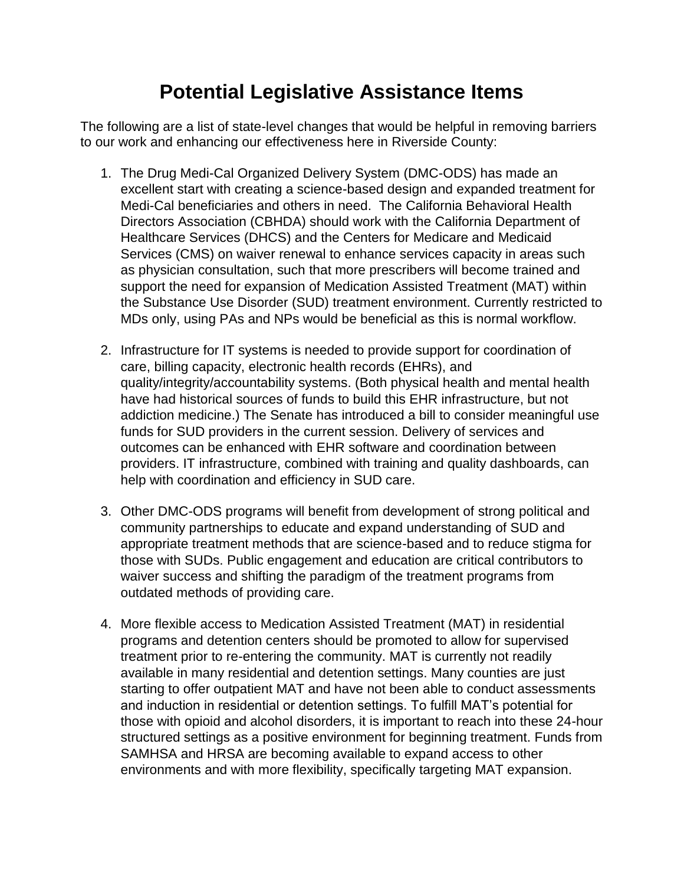## **Potential Legislative Assistance Items**

The following are a list of state-level changes that would be helpful in removing barriers to our work and enhancing our effectiveness here in Riverside County:

- 1. The Drug Medi-Cal Organized Delivery System (DMC-ODS) has made an excellent start with creating a science-based design and expanded treatment for Medi-Cal beneficiaries and others in need. The California Behavioral Health Directors Association (CBHDA) should work with the California Department of Healthcare Services (DHCS) and the Centers for Medicare and Medicaid Services (CMS) on waiver renewal to enhance services capacity in areas such as physician consultation, such that more prescribers will become trained and support the need for expansion of Medication Assisted Treatment (MAT) within the Substance Use Disorder (SUD) treatment environment. Currently restricted to MDs only, using PAs and NPs would be beneficial as this is normal workflow.
- 2. Infrastructure for IT systems is needed to provide support for coordination of care, billing capacity, electronic health records (EHRs), and quality/integrity/accountability systems. (Both physical health and mental health have had historical sources of funds to build this EHR infrastructure, but not addiction medicine.) The Senate has introduced a bill to consider meaningful use funds for SUD providers in the current session. Delivery of services and outcomes can be enhanced with EHR software and coordination between providers. IT infrastructure, combined with training and quality dashboards, can help with coordination and efficiency in SUD care.
- 3. Other DMC-ODS programs will benefit from development of strong political and community partnerships to educate and expand understanding of SUD and appropriate treatment methods that are science-based and to reduce stigma for those with SUDs. Public engagement and education are critical contributors to waiver success and shifting the paradigm of the treatment programs from outdated methods of providing care.
- 4. More flexible access to Medication Assisted Treatment (MAT) in residential programs and detention centers should be promoted to allow for supervised treatment prior to re-entering the community. MAT is currently not readily available in many residential and detention settings. Many counties are just starting to offer outpatient MAT and have not been able to conduct assessments and induction in residential or detention settings. To fulfill MAT's potential for those with opioid and alcohol disorders, it is important to reach into these 24-hour structured settings as a positive environment for beginning treatment. Funds from SAMHSA and HRSA are becoming available to expand access to other environments and with more flexibility, specifically targeting MAT expansion.